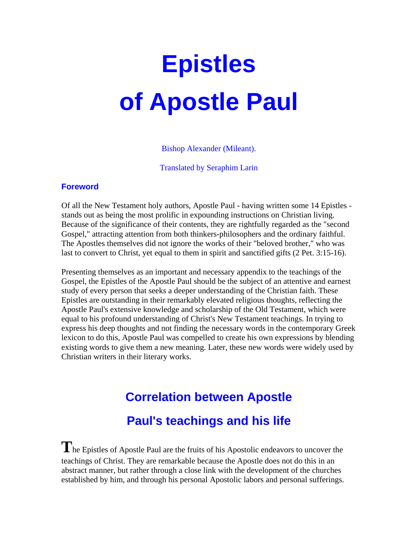# **Epistles of Apostle Paul**

Bishop Alexander (Mileant).

Translated by Seraphim Larin

#### **Foreword**

Of all the New Testament holy authors, Apostle Paul - having written some 14 Epistles stands out as being the most prolific in expounding instructions on Christian living. Because of the significance of their contents, they are rightfully regarded as the "second Gospel," attracting attention from both thinkers-philosophers and the ordinary faithful. The Apostles themselves did not ignore the works of their "beloved brother," who was last to convert to Christ, yet equal to them in spirit and sanctified gifts (2 Pet. 3:15-16).

Presenting themselves as an important and necessary appendix to the teachings of the Gospel, the Epistles of the Apostle Paul should be the subject of an attentive and earnest study of every person that seeks a deeper understanding of the Christian faith. These Epistles are outstanding in their remarkably elevated religious thoughts, reflecting the Apostle Paul's extensive knowledge and scholarship of the Old Testament, which were equal to his profound understanding of Christ's New Testament teachings. In trying to express his deep thoughts and not finding the necessary words in the contemporary Greek lexicon to do this, Apostle Paul was compelled to create his own expressions by blending existing words to give them a new meaning. Later, these new words were widely used by Christian writers in their literary works.

# **Correlation between Apostle Paul's teachings and his life**

The Epistles of Apostle Paul are the fruits of his Apostolic endeavors to uncover the teachings of Christ. They are remarkable because the Apostle does not do this in an abstract manner, but rather through a close link with the development of the churches established by him, and through his personal Apostolic labors and personal sufferings.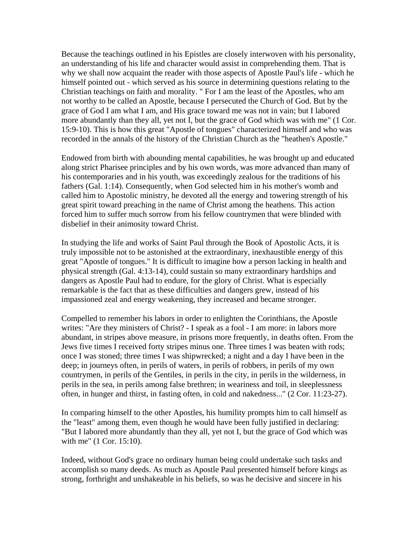Because the teachings outlined in his Epistles are closely interwoven with his personality, an understanding of his life and character would assist in comprehending them. That is why we shall now acquaint the reader with those aspects of Apostle Paul's life - which he himself pointed out - which served as his source in determining questions relating to the Christian teachings on faith and morality. " For I am the least of the Apostles, who am not worthy to be called an Apostle, because I persecuted the Church of God. But by the grace of God I am what I am, and His grace toward me was not in vain; but I labored more abundantly than they all, yet not I, but the grace of God which was with me" (1 Cor. 15:9-10). This is how this great "Apostle of tongues" characterized himself and who was recorded in the annals of the history of the Christian Church as the "heathen's Apostle."

Endowed from birth with abounding mental capabilities, he was brought up and educated along strict Pharisee principles and by his own words, was more advanced than many of his contemporaries and in his youth, was exceedingly zealous for the traditions of his fathers (Gal. 1:14). Consequently, when God selected him in his mother's womb and called him to Apostolic ministry, he devoted all the energy and towering strength of his great spirit toward preaching in the name of Christ among the heathens. This action forced him to suffer much sorrow from his fellow countrymen that were blinded with disbelief in their animosity toward Christ.

In studying the life and works of Saint Paul through the Book of Apostolic Acts, it is truly impossible not to be astonished at the extraordinary, inexhaustible energy of this great "Apostle of tongues." It is difficult to imagine how a person lacking in health and physical strength (Gal. 4:13-14), could sustain so many extraordinary hardships and dangers as Apostle Paul had to endure, for the glory of Christ. What is especially remarkable is the fact that as these difficulties and dangers grew, instead of his impassioned zeal and energy weakening, they increased and became stronger.

Compelled to remember his labors in order to enlighten the Corinthians, the Apostle writes: "Are they ministers of Christ? - I speak as a fool - I am more: in labors more abundant, in stripes above measure, in prisons more frequently, in deaths often. From the Jews five times I received forty stripes minus one. Three times I was beaten with rods; once I was stoned; three times I was shipwrecked; a night and a day I have been in the deep; in journeys often, in perils of waters, in perils of robbers, in perils of my own countrymen, in perils of the Gentiles, in perils in the city, in perils in the wilderness, in perils in the sea, in perils among false brethren; in weariness and toil, in sleeplessness often, in hunger and thirst, in fasting often, in cold and nakedness..." (2 Cor. 11:23-27).

In comparing himself to the other Apostles, his humility prompts him to call himself as the "least" among them, even though he would have been fully justified in declaring: "But I labored more abundantly than they all, yet not I, but the grace of God which was with me" (1 Cor. 15:10).

Indeed, without God's grace no ordinary human being could undertake such tasks and accomplish so many deeds. As much as Apostle Paul presented himself before kings as strong, forthright and unshakeable in his beliefs, so was he decisive and sincere in his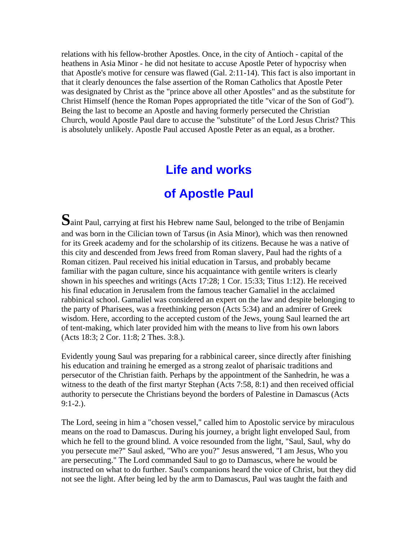relations with his fellow-brother Apostles. Once, in the city of Antioch - capital of the heathens in Asia Minor - he did not hesitate to accuse Apostle Peter of hypocrisy when that Apostle's motive for censure was flawed (Gal. 2:11-14). This fact is also important in that it clearly denounces the false assertion of the Roman Catholics that Apostle Peter was designated by Christ as the "prince above all other Apostles" and as the substitute for Christ Himself (hence the Roman Popes appropriated the title "vicar of the Son of God"). Being the last to become an Apostle and having formerly persecuted the Christian Church, would Apostle Paul dare to accuse the "substitute" of the Lord Jesus Christ? This is absolutely unlikely. Apostle Paul accused Apostle Peter as an equal, as a brother.

#### **Life and works**

#### **of Apostle Paul**

**S**aint Paul, carrying at first his Hebrew name Saul, belonged to the tribe of Benjamin and was born in the Cilician town of Tarsus (in Asia Minor), which was then renowned for its Greek academy and for the scholarship of its citizens. Because he was a native of this city and descended from Jews freed from Roman slavery, Paul had the rights of a Roman citizen. Paul received his initial education in Tarsus, and probably became familiar with the pagan culture, since his acquaintance with gentile writers is clearly shown in his speeches and writings (Acts 17:28; 1 Cor. 15:33; Titus 1:12). He received his final education in Jerusalem from the famous teacher Gamaliel in the acclaimed rabbinical school. Gamaliel was considered an expert on the law and despite belonging to the party of Pharisees, was a freethinking person (Acts 5:34) and an admirer of Greek wisdom. Here, according to the accepted custom of the Jews, young Saul learned the art of tent-making, which later provided him with the means to live from his own labors (Acts 18:3; 2 Cor. 11:8; 2 Thes. 3:8.).

Evidently young Saul was preparing for a rabbinical career, since directly after finishing his education and training he emerged as a strong zealot of pharisaic traditions and persecutor of the Christian faith. Perhaps by the appointment of the Sanhedrin, he was a witness to the death of the first martyr Stephan (Acts 7:58, 8:1) and then received official authority to persecute the Christians beyond the borders of Palestine in Damascus (Acts  $9:1-2.$ ).

The Lord, seeing in him a "chosen vessel," called him to Apostolic service by miraculous means on the road to Damascus. During his journey, a bright light enveloped Saul, from which he fell to the ground blind. A voice resounded from the light, "Saul, Saul, why do you persecute me?" Saul asked, "Who are you?" Jesus answered, "I am Jesus, Who you are persecuting." The Lord commanded Saul to go to Damascus, where he would be instructed on what to do further. Saul's companions heard the voice of Christ, but they did not see the light. After being led by the arm to Damascus, Paul was taught the faith and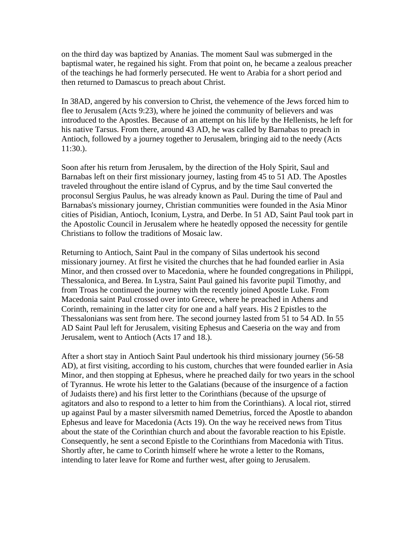on the third day was baptized by Ananias. The moment Saul was submerged in the baptismal water, he regained his sight. From that point on, he became a zealous preacher of the teachings he had formerly persecuted. He went to Arabia for a short period and then returned to Damascus to preach about Christ.

In 38AD, angered by his conversion to Christ, the vehemence of the Jews forced him to flee to Jerusalem (Acts 9:23), where he joined the community of believers and was introduced to the Apostles. Because of an attempt on his life by the Hellenists, he left for his native Tarsus. From there, around 43 AD, he was called by Barnabas to preach in Antioch, followed by a journey together to Jerusalem, bringing aid to the needy (Acts 11:30.).

Soon after his return from Jerusalem, by the direction of the Holy Spirit, Saul and Barnabas left on their first missionary journey, lasting from 45 to 51 AD. The Apostles traveled throughout the entire island of Cyprus, and by the time Saul converted the proconsul Sergius Paulus, he was already known as Paul. During the time of Paul and Barnabas's missionary journey, Christian communities were founded in the Asia Minor cities of Pisidian, Antioch, Iconium, Lystra, and Derbe. In 51 AD, Saint Paul took part in the Apostolic Council in Jerusalem where he heatedly opposed the necessity for gentile Christians to follow the traditions of Mosaic law.

Returning to Antioch, Saint Paul in the company of Silas undertook his second missionary journey. At first he visited the churches that he had founded earlier in Asia Minor, and then crossed over to Macedonia, where he founded congregations in Philippi, Thessalonica, and Berea. In Lystra, Saint Paul gained his favorite pupil Timothy, and from Troas he continued the journey with the recently joined Apostle Luke. From Macedonia saint Paul crossed over into Greece, where he preached in Athens and Corinth, remaining in the latter city for one and a half years. His 2 Epistles to the Thessalonians was sent from here. The second journey lasted from 51 to 54 AD. In 55 AD Saint Paul left for Jerusalem, visiting Ephesus and Caeseria on the way and from Jerusalem, went to Antioch (Acts 17 and 18.).

After a short stay in Antioch Saint Paul undertook his third missionary journey (56-58 AD), at first visiting, according to his custom, churches that were founded earlier in Asia Minor, and then stopping at Ephesus, where he preached daily for two years in the school of Tyrannus. He wrote his letter to the Galatians (because of the insurgence of a faction of Judaists there) and his first letter to the Corinthians (because of the upsurge of agitators and also to respond to a letter to him from the Corinthians). A local riot, stirred up against Paul by a master silversmith named Demetrius, forced the Apostle to abandon Ephesus and leave for Macedonia (Acts 19). On the way he received news from Titus about the state of the Corinthian church and about the favorable reaction to his Epistle. Consequently, he sent a second Epistle to the Corinthians from Macedonia with Titus. Shortly after, he came to Corinth himself where he wrote a letter to the Romans, intending to later leave for Rome and further west, after going to Jerusalem.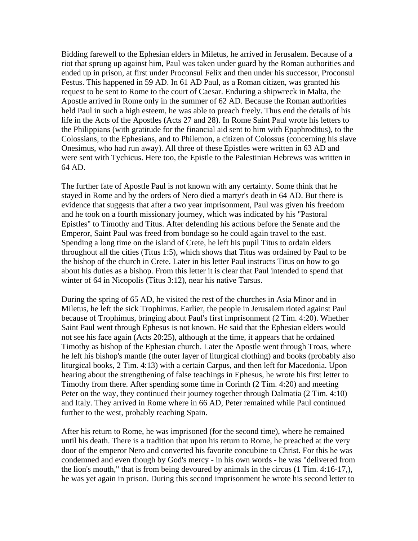Bidding farewell to the Ephesian elders in Miletus, he arrived in Jerusalem. Because of a riot that sprung up against him, Paul was taken under guard by the Roman authorities and ended up in prison, at first under Proconsul Felix and then under his successor, Proconsul Festus. This happened in 59 AD. In 61 AD Paul, as a Roman citizen, was granted his request to be sent to Rome to the court of Caesar. Enduring a shipwreck in Malta, the Apostle arrived in Rome only in the summer of 62 AD. Because the Roman authorities held Paul in such a high esteem, he was able to preach freely. Thus end the details of his life in the Acts of the Apostles (Acts 27 and 28). In Rome Saint Paul wrote his letters to the Philippians (with gratitude for the financial aid sent to him with Epaphroditus), to the Colossians, to the Ephesians, and to Philemon, a citizen of Colossus (concerning his slave Onesimus, who had run away). All three of these Epistles were written in 63 AD and were sent with Tychicus. Here too, the Epistle to the Palestinian Hebrews was written in 64 AD.

The further fate of Apostle Paul is not known with any certainty. Some think that he stayed in Rome and by the orders of Nero died a martyr's death in 64 AD. But there is evidence that suggests that after a two year imprisonment, Paul was given his freedom and he took on a fourth missionary journey, which was indicated by his "Pastoral Epistles" to Timothy and Titus. After defending his actions before the Senate and the Emperor, Saint Paul was freed from bondage so he could again travel to the east. Spending a long time on the island of Crete, he left his pupil Titus to ordain elders throughout all the cities (Titus 1:5), which shows that Titus was ordained by Paul to be the bishop of the church in Crete. Later in his letter Paul instructs Titus on how to go about his duties as a bishop. From this letter it is clear that Paul intended to spend that winter of 64 in Nicopolis (Titus 3:12), near his native Tarsus.

During the spring of 65 AD, he visited the rest of the churches in Asia Minor and in Miletus, he left the sick Trophimus. Earlier, the people in Jerusalem rioted against Paul because of Trophimus, bringing about Paul's first imprisonment (2 Tim. 4:20). Whether Saint Paul went through Ephesus is not known. He said that the Ephesian elders would not see his face again (Acts 20:25), although at the time, it appears that he ordained Timothy as bishop of the Ephesian church. Later the Apostle went through Troas, where he left his bishop's mantle (the outer layer of liturgical clothing) and books (probably also liturgical books, 2 Tim. 4:13) with a certain Carpus, and then left for Macedonia. Upon hearing about the strengthening of false teachings in Ephesus, he wrote his first letter to Timothy from there. After spending some time in Corinth (2 Tim. 4:20) and meeting Peter on the way, they continued their journey together through Dalmatia (2 Tim. 4:10) and Italy. They arrived in Rome where in 66 AD, Peter remained while Paul continued further to the west, probably reaching Spain.

After his return to Rome, he was imprisoned (for the second time), where he remained until his death. There is a tradition that upon his return to Rome, he preached at the very door of the emperor Nero and converted his favorite concubine to Christ. For this he was condemned and even though by God's mercy - in his own words - he was "delivered from the lion's mouth," that is from being devoured by animals in the circus (1 Tim. 4:16-17,), he was yet again in prison. During this second imprisonment he wrote his second letter to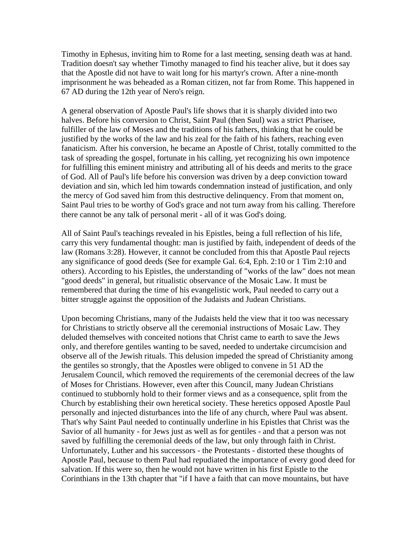Timothy in Ephesus, inviting him to Rome for a last meeting, sensing death was at hand. Tradition doesn't say whether Timothy managed to find his teacher alive, but it does say that the Apostle did not have to wait long for his martyr's crown. After a nine-month imprisonment he was beheaded as a Roman citizen, not far from Rome. This happened in 67 AD during the 12th year of Nero's reign.

A general observation of Apostle Paul's life shows that it is sharply divided into two halves. Before his conversion to Christ, Saint Paul (then Saul) was a strict Pharisee, fulfiller of the law of Moses and the traditions of his fathers, thinking that he could be justified by the works of the law and his zeal for the faith of his fathers, reaching even fanaticism. After his conversion, he became an Apostle of Christ, totally committed to the task of spreading the gospel, fortunate in his calling, yet recognizing his own impotence for fulfilling this eminent ministry and attributing all of his deeds and merits to the grace of God. All of Paul's life before his conversion was driven by a deep conviction toward deviation and sin, which led him towards condemnation instead of justification, and only the mercy of God saved him from this destructive delinquency. From that moment on, Saint Paul tries to be worthy of God's grace and not turn away from his calling. Therefore there cannot be any talk of personal merit - all of it was God's doing.

All of Saint Paul's teachings revealed in his Epistles, being a full reflection of his life, carry this very fundamental thought: man is justified by faith, independent of deeds of the law (Romans 3:28). However, it cannot be concluded from this that Apostle Paul rejects any significance of good deeds (See for example Gal. 6:4, Eph. 2:10 or 1 Tim 2:10 and others). According to his Epistles, the understanding of "works of the law" does not mean "good deeds" in general, but ritualistic observance of the Mosaic Law. It must be remembered that during the time of his evangelistic work, Paul needed to carry out a bitter struggle against the opposition of the Judaists and Judean Christians.

Upon becoming Christians, many of the Judaists held the view that it too was necessary for Christians to strictly observe all the ceremonial instructions of Mosaic Law. They deluded themselves with conceited notions that Christ came to earth to save the Jews only, and therefore gentiles wanting to be saved, needed to undertake circumcision and observe all of the Jewish rituals. This delusion impeded the spread of Christianity among the gentiles so strongly, that the Apostles were obliged to convene in 51 AD the Jerusalem Council, which removed the requirements of the ceremonial decrees of the law of Moses for Christians. However, even after this Council, many Judean Christians continued to stubbornly hold to their former views and as a consequence, split from the Church by establishing their own heretical society. These heretics opposed Apostle Paul personally and injected disturbances into the life of any church, where Paul was absent. That's why Saint Paul needed to continually underline in his Epistles that Christ was the Savior of all humanity - for Jews just as well as for gentiles - and that a person was not saved by fulfilling the ceremonial deeds of the law, but only through faith in Christ. Unfortunately, Luther and his successors - the Protestants - distorted these thoughts of Apostle Paul, because to them Paul had repudiated the importance of every good deed for salvation. If this were so, then he would not have written in his first Epistle to the Corinthians in the 13th chapter that "if I have a faith that can move mountains, but have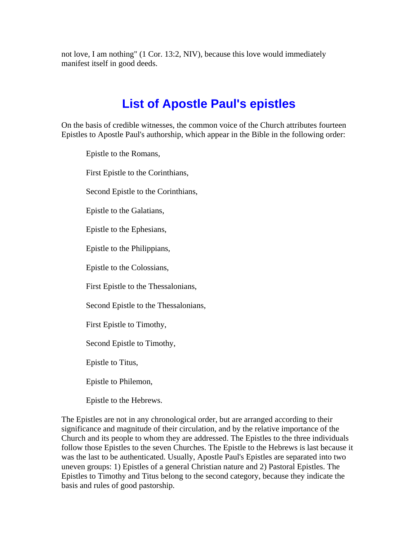not love, I am nothing" (1 Cor. 13:2, NIV), because this love would immediately manifest itself in good deeds.

## **List of Apostle Paul's epistles**

On the basis of credible witnesses, the common voice of the Church attributes fourteen Epistles to Apostle Paul's authorship, which appear in the Bible in the following order:

Epistle to the Romans,

First Epistle to the Corinthians,

Second Epistle to the Corinthians,

Epistle to the Galatians,

Epistle to the Ephesians,

Epistle to the Philippians,

Epistle to the Colossians,

First Epistle to the Thessalonians,

Second Epistle to the Thessalonians,

First Epistle to Timothy,

Second Epistle to Timothy,

Epistle to Titus,

Epistle to Philemon,

Epistle to the Hebrews.

The Epistles are not in any chronological order, but are arranged according to their significance and magnitude of their circulation, and by the relative importance of the Church and its people to whom they are addressed. The Epistles to the three individuals follow those Epistles to the seven Churches. The Epistle to the Hebrews is last because it was the last to be authenticated. Usually, Apostle Paul's Epistles are separated into two uneven groups: 1) Epistles of a general Christian nature and 2) Pastoral Epistles. The Epistles to Timothy and Titus belong to the second category, because they indicate the basis and rules of good pastorship.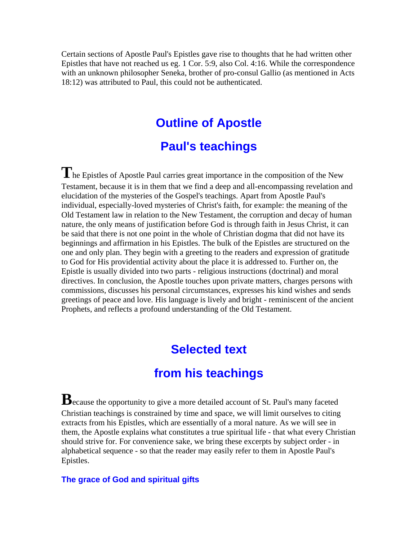Certain sections of Apostle Paul's Epistles gave rise to thoughts that he had written other Epistles that have not reached us eg. 1 Cor. 5:9, also Col. 4:16. While the correspondence with an unknown philosopher Seneka, brother of pro-consul Gallio (as mentioned in Acts 18:12) was attributed to Paul, this could not be authenticated.

#### **Outline of Apostle**

### **Paul's teachings**

**T**he Epistles of Apostle Paul carries great importance in the composition of the New Testament, because it is in them that we find a deep and all-encompassing revelation and elucidation of the mysteries of the Gospel's teachings. Apart from Apostle Paul's individual, especially-loved mysteries of Christ's faith, for example: the meaning of the Old Testament law in relation to the New Testament, the corruption and decay of human nature, the only means of justification before God is through faith in Jesus Christ, it can be said that there is not one point in the whole of Christian dogma that did not have its beginnings and affirmation in his Epistles. The bulk of the Epistles are structured on the one and only plan. They begin with a greeting to the readers and expression of gratitude to God for His providential activity about the place it is addressed to. Further on, the Epistle is usually divided into two parts - religious instructions (doctrinal) and moral directives. In conclusion, the Apostle touches upon private matters, charges persons with commissions, discusses his personal circumstances, expresses his kind wishes and sends greetings of peace and love. His language is lively and bright - reminiscent of the ancient Prophets, and reflects a profound understanding of the Old Testament.

#### **Selected text**

#### **from his teachings**

**B**ecause the opportunity to give a more detailed account of St. Paul's many faceted Christian teachings is constrained by time and space, we will limit ourselves to citing extracts from his Epistles, which are essentially of a moral nature. As we will see in them, the Apostle explains what constitutes a true spiritual life - that what every Christian should strive for. For convenience sake, we bring these excerpts by subject order - in alphabetical sequence - so that the reader may easily refer to them in Apostle Paul's Epistles.

#### **The grace of God and spiritual gifts**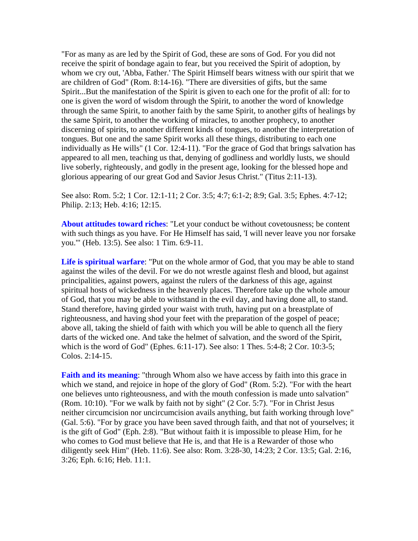"For as many as are led by the Spirit of God, these are sons of God. For you did not receive the spirit of bondage again to fear, but you received the Spirit of adoption, by whom we cry out, 'Abba, Father.' The Spirit Himself bears witness with our spirit that we are children of God" (Rom. 8:14-16). "There are diversities of gifts, but the same Spirit...But the manifestation of the Spirit is given to each one for the profit of all: for to one is given the word of wisdom through the Spirit, to another the word of knowledge through the same Spirit, to another faith by the same Spirit, to another gifts of healings by the same Spirit, to another the working of miracles, to another prophecy, to another discerning of spirits, to another different kinds of tongues, to another the interpretation of tongues. But one and the same Spirit works all these things, distributing to each one individually as He wills" (1 Cor. 12:4-11). "For the grace of God that brings salvation has appeared to all men, teaching us that, denying of godliness and worldly lusts, we should live soberly, righteously, and godly in the present age, looking for the blessed hope and glorious appearing of our great God and Savior Jesus Christ." (Titus 2:11-13).

See also: Rom. 5:2; 1 Cor. 12:1-11; 2 Cor. 3:5; 4:7; 6:1-2; 8:9; Gal. 3:5; Ephes. 4:7-12; Philip. 2:13; Heb. 4:16; 12:15.

**About attitudes toward riches**: "Let your conduct be without covetousness; be content with such things as you have. For He Himself has said, 'I will never leave you nor forsake you.'" (Heb. 13:5). See also: 1 Tim. 6:9-11.

**Life is spiritual warfare**: "Put on the whole armor of God, that you may be able to stand against the wiles of the devil. For we do not wrestle against flesh and blood, but against principalities, against powers, against the rulers of the darkness of this age, against spiritual hosts of wickedness in the heavenly places. Therefore take up the whole amour of God, that you may be able to withstand in the evil day, and having done all, to stand. Stand therefore, having girded your waist with truth, having put on a breastplate of righteousness, and having shod your feet with the preparation of the gospel of peace; above all, taking the shield of faith with which you will be able to quench all the fiery darts of the wicked one. And take the helmet of salvation, and the sword of the Spirit, which is the word of God" (Ephes. 6:11-17). See also: 1 Thes. 5:4-8; 2 Cor. 10:3-5; Colos. 2:14-15.

**Faith and its meaning:** "through Whom also we have access by faith into this grace in which we stand, and rejoice in hope of the glory of God" (Rom. 5:2). "For with the heart one believes unto righteousness, and with the mouth confession is made unto salvation" (Rom. 10:10). "For we walk by faith not by sight" (2 Cor. 5:7). "For in Christ Jesus neither circumcision nor uncircumcision avails anything, but faith working through love" (Gal. 5:6). "For by grace you have been saved through faith, and that not of yourselves; it is the gift of God" (Eph. 2:8). "But without faith it is impossible to please Him, for he who comes to God must believe that He is, and that He is a Rewarder of those who diligently seek Him" (Heb. 11:6). See also: Rom. 3:28-30, 14:23; 2 Cor. 13:5; Gal. 2:16, 3:26; Eph. 6:16; Heb. 11:1.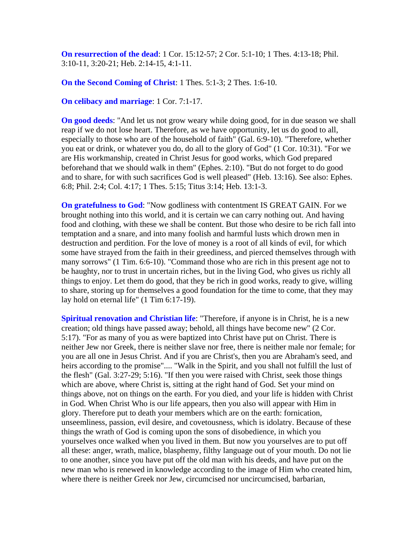**On resurrection of the dead**: 1 Cor. 15:12-57; 2 Cor. 5:1-10; 1 Thes. 4:13-18; Phil. 3:10-11, 3:20-21; Heb. 2:14-15, 4:1-11.

**On the Second Coming of Christ**: 1 Thes. 5:1-3; 2 Thes. 1:6-10.

**On celibacy and marriage**: 1 Cor. 7:1-17.

**On good deeds**: "And let us not grow weary while doing good, for in due season we shall reap if we do not lose heart. Therefore, as we have opportunity, let us do good to all, especially to those who are of the household of faith" (Gal. 6:9-10). "Therefore, whether you eat or drink, or whatever you do, do all to the glory of God" (1 Cor. 10:31). "For we are His workmanship, created in Christ Jesus for good works, which God prepared beforehand that we should walk in them" (Ephes. 2:10). "But do not forget to do good and to share, for with such sacrifices God is well pleased" (Heb. 13:16). See also: Ephes. 6:8; Phil. 2:4; Col. 4:17; 1 Thes. 5:15; Titus 3:14; Heb. 13:1-3.

**On gratefulness to God**: "Now godliness with contentment IS GREAT GAIN. For we brought nothing into this world, and it is certain we can carry nothing out. And having food and clothing, with these we shall be content. But those who desire to be rich fall into temptation and a snare, and into many foolish and harmful lusts which drown men in destruction and perdition. For the love of money is a root of all kinds of evil, for which some have strayed from the faith in their greediness, and pierced themselves through with many sorrows" (1 Tim. 6:6-10). "Command those who are rich in this present age not to be haughty, nor to trust in uncertain riches, but in the living God, who gives us richly all things to enjoy. Let them do good, that they be rich in good works, ready to give, willing to share, storing up for themselves a good foundation for the time to come, that they may lay hold on eternal life" (1 Tim 6:17-19).

**Spiritual renovation and Christian life:** "Therefore, if anyone is in Christ, he is a new creation; old things have passed away; behold, all things have become new" (2 Cor. 5:17). "For as many of you as were baptized into Christ have put on Christ. There is neither Jew nor Greek, there is neither slave nor free, there is neither male nor female; for you are all one in Jesus Christ. And if you are Christ's, then you are Abraham's seed, and heirs according to the promise".... "Walk in the Spirit, and you shall not fulfill the lust of the flesh" (Gal. 3:27-29; 5:16). "If then you were raised with Christ, seek those things which are above, where Christ is, sitting at the right hand of God. Set your mind on things above, not on things on the earth. For you died, and your life is hidden with Christ in God. When Christ Who is our life appears, then you also will appear with Him in glory. Therefore put to death your members which are on the earth: fornication, unseemliness, passion, evil desire, and covetousness, which is idolatry. Because of these things the wrath of God is coming upon the sons of disobedience, in which you yourselves once walked when you lived in them. But now you yourselves are to put off all these: anger, wrath, malice, blasphemy, filthy language out of your mouth. Do not lie to one another, since you have put off the old man with his deeds, and have put on the new man who is renewed in knowledge according to the image of Him who created him, where there is neither Greek nor Jew, circumcised nor uncircumcised, barbarian,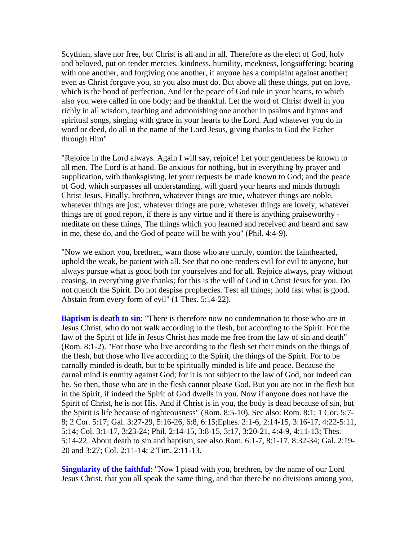Scythian, slave nor free, but Christ is all and in all. Therefore as the elect of God, holy and beloved, put on tender mercies, kindness, humility, meekness, longsuffering; bearing with one another, and forgiving one another, if anyone has a complaint against another; even as Christ forgave you, so you also must do. But above all these things, put on love, which is the bond of perfection. And let the peace of God rule in your hearts, to which also you were called in one body; and be thankful. Let the word of Christ dwell in you richly in all wisdom, teaching and admonishing one another in psalms and hymns and spiritual songs, singing with grace in your hearts to the Lord. And whatever you do in word or deed, do all in the name of the Lord Jesus, giving thanks to God the Father through Him"

"Rejoice in the Lord always. Again I will say, rejoice! Let your gentleness be known to all men. The Lord is at hand. Be anxious for nothing, but in everything by prayer and supplication, with thanksgiving, let your requests be made known to God; and the peace of God, which surpasses all understanding, will guard your hearts and minds through Christ Jesus. Finally, brethren, whatever things are true, whatever things are noble, whatever things are just, whatever things are pure, whatever things are lovely, whatever things are of good report, if there is any virtue and if there is anything praiseworthy meditate on these things, The things which you learned and received and heard and saw in me, these do, and the God of peace will be with you" (Phil. 4:4-9).

"Now we exhort you, brethren, warn those who are unruly, comfort the fainthearted, uphold the weak, be patient with all. See that no one renders evil for evil to anyone, but always pursue what is good both for yourselves and for all. Rejoice always, pray without ceasing, in everything give thanks; for this is the will of God in Christ Jesus for you. Do not quench the Spirit. Do not despise prophecies. Test all things; hold fast what is good. Abstain from every form of evil" (1 Thes. 5:14-22).

**Baptism is death to sin:** "There is therefore now no condemnation to those who are in Jesus Christ, who do not walk according to the flesh, but according to the Spirit. For the law of the Spirit of life in Jesus Christ has made me free from the law of sin and death" (Rom. 8:1-2). "For those who live according to the flesh set their minds on the things of the flesh, but those who live according to the Spirit, the things of the Spirit. For to be carnally minded is death, but to be spiritually minded is life and peace. Because the carnal mind is enmity against God; for it is not subject to the law of God, nor indeed can be. So then, those who are in the flesh cannot please God. But you are not in the flesh but in the Spirit, if indeed the Spirit of God dwells in you. Now if anyone does not have the Spirit of Christ, he is not His. And if Christ is in you, the body is dead because of sin, but the Spirit is life because of righteousness" (Rom. 8:5-10). See also: Rom. 8:1; 1 Cor. 5:7- 8; 2 Cor. 5:17; Gal. 3:27-29, 5:16-26, 6:8, 6:15;Ephes. 2:1-6, 2:14-15, 3:16-17, 4:22-5:11, 5:14; Col. 3:1-17, 3:23-24; Phil. 2:14-15, 3:8-15, 3:17, 3:20-21, 4:4-9, 4:11-13; Thes. 5:14-22. About death to sin and baptism, see also Rom. 6:1-7, 8:1-17, 8:32-34; Gal. 2:19- 20 and 3:27; Col. 2:11-14; 2 Tim. 2:11-13.

**Singularity of the faithful:** "Now I plead with you, brethren, by the name of our Lord Jesus Christ, that you all speak the same thing, and that there be no divisions among you,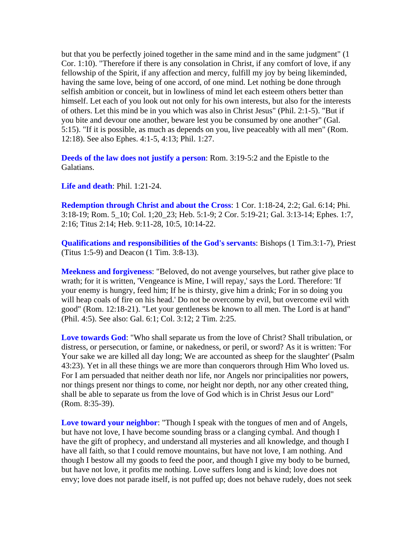but that you be perfectly joined together in the same mind and in the same judgment" (1 Cor. 1:10). "Therefore if there is any consolation in Christ, if any comfort of love, if any fellowship of the Spirit, if any affection and mercy, fulfill my joy by being likeminded, having the same love, being of one accord, of one mind. Let nothing be done through selfish ambition or conceit, but in lowliness of mind let each esteem others better than himself. Let each of you look out not only for his own interests, but also for the interests of others. Let this mind be in you which was also in Christ Jesus" (Phil. 2:1-5). "But if you bite and devour one another, beware lest you be consumed by one another" (Gal. 5:15). "If it is possible, as much as depends on you, live peaceably with all men" (Rom. 12:18). See also Ephes. 4:1-5, 4:13; Phil. 1:27.

**Deeds of the law does not justify a person**: Rom. 3:19-5:2 and the Epistle to the Galatians.

**Life and death**: Phil. 1:21-24.

**Redemption through Christ and about the Cross**: 1 Cor. 1:18-24, 2:2; Gal. 6:14; Phi. 3:18-19; Rom. 5\_10; Col. 1;20\_23; Heb. 5:1-9; 2 Cor. 5:19-21; Gal. 3:13-14; Ephes. 1:7, 2:16; Titus 2:14; Heb. 9:11-28, 10:5, 10:14-22.

**Qualifications and responsibilities of the God's servants**: Bishops (1 Tim.3:1-7), Priest (Titus 1:5-9) and Deacon (1 Tim. 3:8-13).

**Meekness and forgiveness**: "Beloved, do not avenge yourselves, but rather give place to wrath; for it is written, 'Vengeance is Mine, I will repay,' says the Lord. Therefore: 'If your enemy is hungry, feed him; If he is thirsty, give him a drink; For in so doing you will heap coals of fire on his head.' Do not be overcome by evil, but overcome evil with good" (Rom. 12:18-21). "Let your gentleness be known to all men. The Lord is at hand" (Phil. 4:5). See also: Gal. 6:1; Col. 3:12; 2 Tim. 2:25.

**Love towards God**: "Who shall separate us from the love of Christ? Shall tribulation, or distress, or persecution, or famine, or nakedness, or peril, or sword? As it is written: 'For Your sake we are killed all day long; We are accounted as sheep for the slaughter' (Psalm 43:23). Yet in all these things we are more than conquerors through Him Who loved us. For I am persuaded that neither death nor life, nor Angels nor principalities nor powers, nor things present nor things to come, nor height nor depth, nor any other created thing, shall be able to separate us from the love of God which is in Christ Jesus our Lord" (Rom. 8:35-39).

**Love toward your neighbor**: "Though I speak with the tongues of men and of Angels, but have not love, I have become sounding brass or a clanging cymbal. And though I have the gift of prophecy, and understand all mysteries and all knowledge, and though I have all faith, so that I could remove mountains, but have not love, I am nothing. And though I bestow all my goods to feed the poor, and though I give my body to be burned, but have not love, it profits me nothing. Love suffers long and is kind; love does not envy; love does not parade itself, is not puffed up; does not behave rudely, does not seek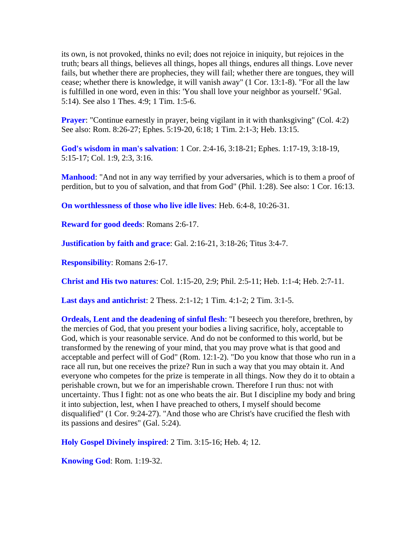its own, is not provoked, thinks no evil; does not rejoice in iniquity, but rejoices in the truth; bears all things, believes all things, hopes all things, endures all things. Love never fails, but whether there are prophecies, they will fail; whether there are tongues, they will cease; whether there is knowledge, it will vanish away" (1 Cor. 13:1-8). "For all the law is fulfilled in one word, even in this: 'You shall love your neighbor as yourself.' 9Gal. 5:14). See also 1 Thes. 4:9; 1 Tim. 1:5-6.

**Prayer:** "Continue earnestly in prayer, being vigilant in it with thanksgiving" (Col. 4:2) See also: Rom. 8:26-27; Ephes. 5:19-20, 6:18; 1 Tim. 2:1-3; Heb. 13:15.

**God's wisdom in man's salvation**: 1 Cor. 2:4-16, 3:18-21; Ephes. 1:17-19, 3:18-19, 5:15-17; Col. 1:9, 2:3, 3:16.

**Manhood**: "And not in any way terrified by your adversaries, which is to them a proof of perdition, but to you of salvation, and that from God" (Phil. 1:28). See also: 1 Cor. 16:13.

**On worthlessness of those who live idle lives**: Heb. 6:4-8, 10:26-31.

**Reward for good deeds**: Romans 2:6-17.

**Justification by faith and grace**: Gal. 2:16-21, 3:18-26; Titus 3:4-7.

**Responsibility**: Romans 2:6-17.

**Christ and His two natures**: Col. 1:15-20, 2:9; Phil. 2:5-11; Heb. 1:1-4; Heb. 2:7-11.

**Last days and antichrist**: 2 Thess. 2:1-12; 1 Tim. 4:1-2; 2 Tim. 3:1-5.

**Ordeals, Lent and the deadening of sinful flesh**: "I beseech you therefore, brethren, by the mercies of God, that you present your bodies a living sacrifice, holy, acceptable to God, which is your reasonable service. And do not be conformed to this world, but be transformed by the renewing of your mind, that you may prove what is that good and acceptable and perfect will of God" (Rom. 12:1-2). "Do you know that those who run in a race all run, but one receives the prize? Run in such a way that you may obtain it. And everyone who competes for the prize is temperate in all things. Now they do it to obtain a perishable crown, but we for an imperishable crown. Therefore I run thus: not with uncertainty. Thus I fight: not as one who beats the air. But I discipline my body and bring it into subjection, lest, when I have preached to others, I myself should become disqualified" (1 Cor. 9:24-27). "And those who are Christ's have crucified the flesh with its passions and desires" (Gal. 5:24).

**Holy Gospel Divinely inspired**: 2 Tim. 3:15-16; Heb. 4; 12.

**Knowing God**: Rom. 1:19-32.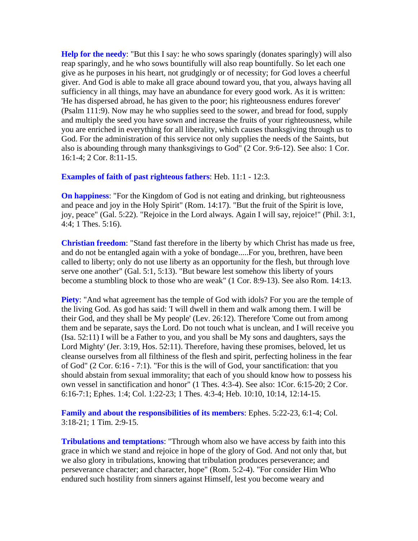**Help for the needy**: "But this I say: he who sows sparingly (donates sparingly) will also reap sparingly, and he who sows bountifully will also reap bountifully. So let each one give as he purposes in his heart, not grudgingly or of necessity; for God loves a cheerful giver. And God is able to make all grace abound toward you, that you, always having all sufficiency in all things, may have an abundance for every good work. As it is written: 'He has dispersed abroad, he has given to the poor; his righteousness endures forever' (Psalm 111:9). Now may he who supplies seed to the sower, and bread for food, supply and multiply the seed you have sown and increase the fruits of your righteousness, while you are enriched in everything for all liberality, which causes thanksgiving through us to God. For the administration of this service not only supplies the needs of the Saints, but also is abounding through many thanksgivings to God" (2 Cor. 9:6-12). See also: 1 Cor. 16:1-4; 2 Cor. 8:11-15.

#### **Examples of faith of past righteous fathers**: Heb. 11:1 - 12:3.

**On happiness**: "For the Kingdom of God is not eating and drinking, but righteousness and peace and joy in the Holy Spirit" (Rom. 14:17). "But the fruit of the Spirit is love, joy, peace" (Gal. 5:22). "Rejoice in the Lord always. Again I will say, rejoice!" (Phil. 3:1, 4:4; 1 Thes. 5:16).

**Christian freedom**: "Stand fast therefore in the liberty by which Christ has made us free, and do not be entangled again with a yoke of bondage.....For you, brethren, have been called to liberty; only do not use liberty as an opportunity for the flesh, but through love serve one another" (Gal. 5:1, 5:13). "But beware lest somehow this liberty of yours become a stumbling block to those who are weak" (1 Cor. 8:9-13). See also Rom. 14:13.

**Piety**: "And what agreement has the temple of God with idols? For you are the temple of the living God. As god has said: 'I will dwell in them and walk among them. I will be their God, and they shall be My people' (Lev. 26:12). Therefore 'Come out from among them and be separate, says the Lord. Do not touch what is unclean, and I will receive you (Isa. 52:11) I will be a Father to you, and you shall be My sons and daughters, says the Lord Mighty' (Jer. 3:19, Hos. 52:11). Therefore, having these promises, beloved, let us cleanse ourselves from all filthiness of the flesh and spirit, perfecting holiness in the fear of God" (2 Cor. 6:16 - 7:1). "For this is the will of God, your sanctification: that you should abstain from sexual immorality; that each of you should know how to possess his own vessel in sanctification and honor" (1 Thes. 4:3-4). See also: 1Cor. 6:15-20; 2 Cor. 6:16-7:1; Ephes. 1:4; Col. 1:22-23; 1 Thes. 4:3-4; Heb. 10:10, 10:14, 12:14-15.

**Family and about the responsibilities of its members**: Ephes. 5:22-23, 6:1-4; Col. 3:18-21; 1 Tim. 2:9-15.

**Tribulations and temptations**: "Through whom also we have access by faith into this grace in which we stand and rejoice in hope of the glory of God. And not only that, but we also glory in tribulations, knowing that tribulation produces perseverance; and perseverance character; and character, hope" (Rom. 5:2-4). "For consider Him Who endured such hostility from sinners against Himself, lest you become weary and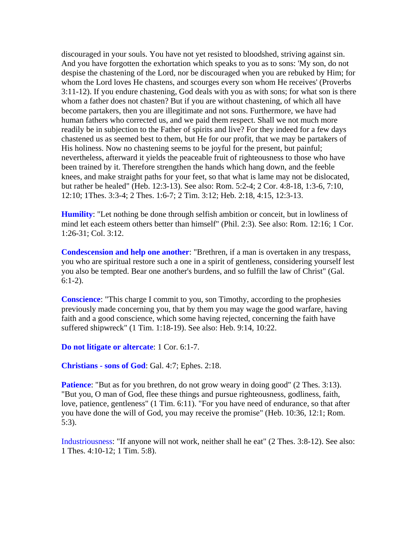discouraged in your souls. You have not yet resisted to bloodshed, striving against sin. And you have forgotten the exhortation which speaks to you as to sons: 'My son, do not despise the chastening of the Lord, nor be discouraged when you are rebuked by Him; for whom the Lord loves He chastens, and scourges every son whom He receives' (Proverbs 3:11-12). If you endure chastening, God deals with you as with sons; for what son is there whom a father does not chasten? But if you are without chastening, of which all have become partakers, then you are illegitimate and not sons. Furthermore, we have had human fathers who corrected us, and we paid them respect. Shall we not much more readily be in subjection to the Father of spirits and live? For they indeed for a few days chastened us as seemed best to them, but He for our profit, that we may be partakers of His holiness. Now no chastening seems to be joyful for the present, but painful; nevertheless, afterward it yields the peaceable fruit of righteousness to those who have been trained by it. Therefore strengthen the hands which hang down, and the feeble knees, and make straight paths for your feet, so that what is lame may not be dislocated, but rather be healed" (Heb. 12:3-13). See also: Rom. 5:2-4; 2 Cor. 4:8-18, 1:3-6, 7:10, 12:10; 1Thes. 3:3-4; 2 Thes. 1:6-7; 2 Tim. 3:12; Heb. 2:18, 4:15, 12:3-13.

**Humility**: "Let nothing be done through selfish ambition or conceit, but in lowliness of mind let each esteem others better than himself" (Phil. 2:3). See also: Rom. 12:16; 1 Cor. 1:26-31; Col. 3:12.

**Condescension and help one another**: "Brethren, if a man is overtaken in any trespass, you who are spiritual restore such a one in a spirit of gentleness, considering yourself lest you also be tempted. Bear one another's burdens, and so fulfill the law of Christ" (Gal. 6:1-2).

**Conscience**: "This charge I commit to you, son Timothy, according to the prophesies previously made concerning you, that by them you may wage the good warfare, having faith and a good conscience, which some having rejected, concerning the faith have suffered shipwreck" (1 Tim. 1:18-19). See also: Heb. 9:14, 10:22.

**Do not litigate or altercate**: 1 Cor. 6:1-7.

**Christians - sons of God**: Gal. 4:7; Ephes. 2:18.

**Patience:** "But as for you brethren, do not grow weary in doing good" (2 Thes. 3:13). "But you, O man of God, flee these things and pursue righteousness, godliness, faith, love, patience, gentleness" (1 Tim. 6:11). "For you have need of endurance, so that after you have done the will of God, you may receive the promise" (Heb. 10:36, 12:1; Rom. 5:3).

Industriousness: "If anyone will not work, neither shall he eat" (2 Thes. 3:8-12). See also: 1 Thes. 4:10-12; 1 Tim. 5:8).